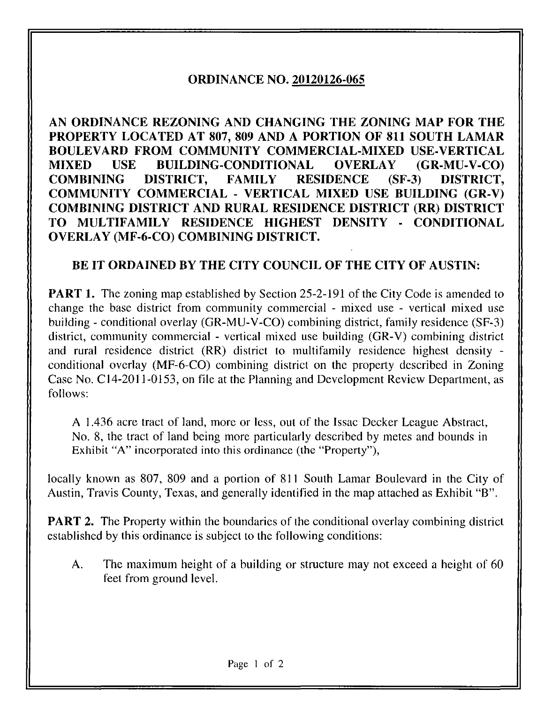## ORDINANCE NO. 20120126-065

AN ORDINANCE REZONING AND CHANGING THE ZONING MAP FOR THE PROPERTY LOCATED AT 807, 809 AND A PORTION OF 811 SOUTH LAMAR BOULEVARD FROM COMMUNITY COMMERCIAL-MIXED USE-VERTICAL MIXED USE BUILDING-CONDITIONAL OVERLAY (GR-MU-V-CO) COMBINING DISTRICT, FAMILY RESIDENCE (SF-3) DISTRICT, COMMUNITY COMMERCIAL - VERTICAL MIXED USE BUILDING (GR-V) COMBINING DISTRICT AND RURAL RESIDENCE DISTRICT (RR) DISTRICT TO MULTIFAMILY RESIDENCE HIGHEST DENSITY - CONDITIONAL OVERLAY (MF-6-CO) COMBINING DISTRICT.

## BE IT ORDAINED BY THE CITY COUNCIL OF THE CITY OF AUSTIN:

**PART 1.** The zoning map established by Section 25-2-191 of the City Code is amended to change the base district from community commercial - mixed use - vertical mixed use building - conditional overlay (GR-MU-V-CO) combining district, family residence (SF-3) district, community commercial - vertical mixed use building (GR-V) combining district and rural residence district (RR) district to multifamily residence highest density conditional overlay (MF-6-CO) combining district on the property described in Zoning Case No. C14-2011-0153, on file at the Planning and Development Review Department, as follows:

A 1.436 acre tract of land, more or less, out of the Issac Decker League Abstract, No. 8, the tract of land being more particularly described by metes and bounds in Exhibit "A" incorporated into this ordinance (the "Property"),

locally known as 807, 809 and a portion of 811 South Lamar Boulevard in the City of Austin, Travis County, Texas, and generally identified in the map attached as Exhibit "B".

**PART 2.** The Property within the boundaries of the conditional overlay combining district established by this ordinance is subject to the following conditions:

A. The maximum height of a building or structure may not exceed a height of 60 feet from ground level.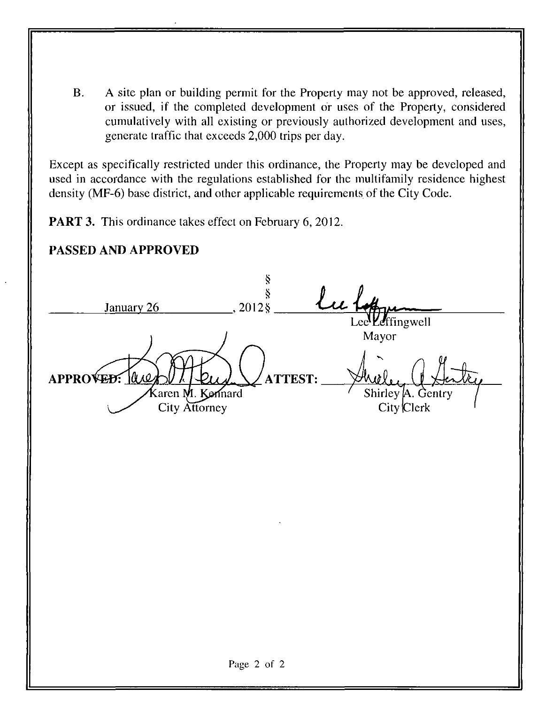B. A site plan or building permit for the Property may not be approved, released, or issued, if the completed development or uses of the Property, considered cumulatively with all existing or previously authorized development and uses, generate traffic that exceeds 2,000 trips per day.

Except as specifically restricted under this ordinance, the Property may be developed and used in accordance with the regulations established for the multifamily residence highest density (MF-6) base district, and other applicable requirements of the City Code.

PART 3. This ordinance takes effect on February 6, 2012.

## PASSED AND APPROVED

January 26 §  $\hat{\S}$ ,20128  $\mathsf{Lee}^{\mathbf l}$ APPROVED: ULC 'fing well Mayor ATTEST: Karen M. Komard City Attorney Shirley t City Clerk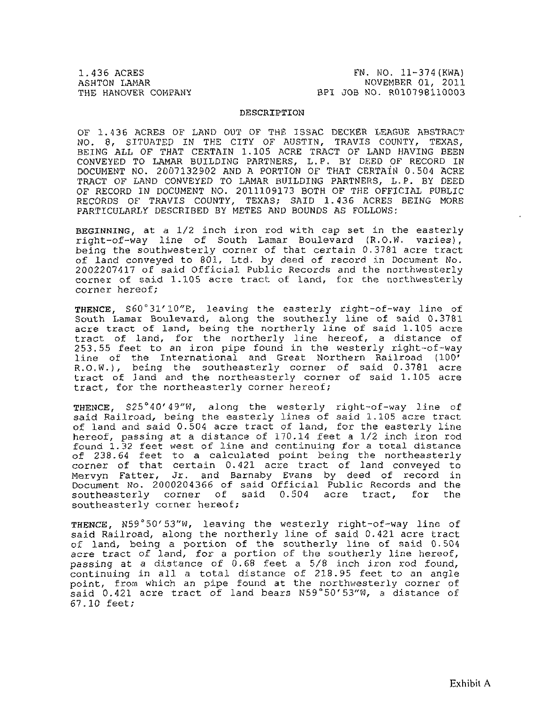1.436 ACRES FN. NO. 11-374 (KWA) (1.436 ACRES FN. NOVEMBER 01, 2011 ASHTON LAMAR<br>
THE HANOVER COMPANY THE BPI JOB NO. R010798110003 BPI JOB NO. R010798110003

## DESCRIPTION

OF 1.436 ACRES OF LAND OUT OF THE ISSAC DECKER LEAGUE ABSTRACT NO. 8, SITUATED IN THE CITY OF AUSTIN, TRAVIS COUNTY, TEXAS, BEING ALL OF THAT CERTAIN 1.105 ACRE TRACT OF LAND HAVING BEEN CONVEYED TO LAMAR BUILDING PARTNERS, L.P. BY DEED OF RECORD IN DOCUMENT NO. 2007132902 AND A PORTION OF THAT CERTAIN 0.504 ACRE TRACT OF LAND CONVEYED TO LAMAR BUILDING PARTNERS, L.P. BY DEED OF RECORD IN DOCUMENT NO. 2011109173 BOTH OF THE OFFICIAL PUBLIC RECORDS OF TRAVIS COUNTY, TEXAS; SAID 1.436 ACRES BEING MORE PARTICULARLY DESCRIBED BY METES AND BOUNDS AS FOLLOWS:

BEGINNING, at a 1/2 inch iron rod with cap set in the easterly right-of-way line of South Lamar Boulevard (R.O.W. varies), being the southwesterly corner of that certain 0.3781 acre tract of land conveyed to 801, Ltd. by deed of record in Document No. 2002207417 of said Official Public Records and the northwesterly corner of said 1.105 acre tract of land, for the northwesterly corner hereof;

THENCE, S60°31'10"E, leaving the easterly right-of-way line of South Lamar Boulevard, along the southerly line of said 0.3781 acre tract of land, being the northerly line of said 1.105 acre tract of land, for the northerly line hereof, a distance of 253.55 feet to an iron pipe found in the westerly right-of-way line of the International and Great Northern Railroad (100' R.O.W.), being the southeasterly corner of said 0.3781 acre tract of land and the northeasterly corner of said 1.105 acre tract, for the northeasterly corner hereof;

THENCE, S25°40'49"W, along the westerly right-of-way line of said Railroad, being the easterly lines of said 1.105 acre tract of land and said 0.504 acre tract of land, for the easterly line hereof, passing at a distance of 170.14 feet a 1/2 inch iron rod found 1.32 feet west of line and continuing for a total distance of 238.64 feet to a calculated point being the northeasterly corner of that certain 0.421 acre tract of land conveyed to Mervyn Fatter, Jr. and Barnaby Evans by deed of record in Document No. 2000204366 of said Official Public Records and the southeasterly corner of said 0.504 acre tract, for the southeasterly corner hereof;

THENCE, N59°50'53"W, leaving the westerly right-of-way line of said Railroad, along the northerly line of said 0.421 acre tract of land, being a portion of the southerly line of said 0.504 acre tract of land, for a portion of the southerly line hereof, passing at a distance of 0.68 feet a 5/8 inch iron rod found, continuing in all a total distance of 218.95 feet to an angle point, from which an pipe found at the northwesterly corner of said 0.421 acre tract of land bears N59°5Q'53"W, a distance of 67.10 feet;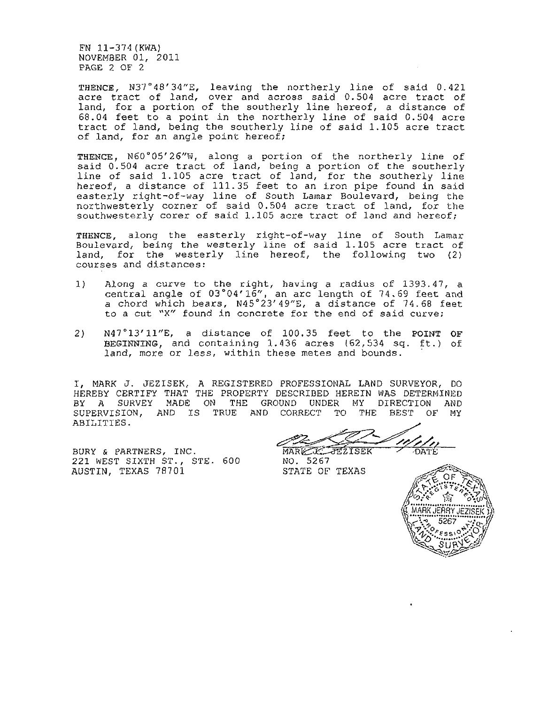FN 11-374(KWA) NOVEMBER 01, 2011 PAGE 2 OF 2

THENCE, N37°48'34"E, leaving the northerly line of said 0.421 acre tract of land, over and across said 0.504 acre tract of land, for a portion of the southerly line hereof, a distance of 68.04 feet to a point in the northerly line of said 0.504 acre tract of land, being the southerly line of said 1.105 acre tract of land, for an angle point hereof;

THENCE, N60°05'26"W, along a portion of the northerly line of said 0.504 acre tract of land, being a portion of the southerly line of said 1.105 acre tract of land, for the southerly line hereof, a distance of 111.35 feet to an iron pipe found in said easterly right-of-way line of South Lamar Boulevard, being the northwesterly corner of said 0.504 acre tract of land, for the southwesterly corer of said 1.105 acre tract of land and hereof;

THENCE, along the easterly right-of-way line of South Lamar Boulevard, being the westerly line of said 1.105 acre tract of land, for the westerly line hereof, the following two (2) courses and distances:

- 1) Along a curve to the right, having a radius of 1393.41, a central angle of 03°04'16", an arc length of 74.69 feet and a chord which bears, N45°23'49"£, a distance of 74.68 feet to a cut "X" found in concrete for the end of said curve;
- 2) N47°13'11"E, a distance of 100.35 feet to the POINT OF BEGINNING, and containing 1.436 acres (62,534 sq. ft.) of land, more or less, within these metes and bounds.

I, MARK J. JEZISEK, A REGISTERED PROFESSIONAL LAND SURVEYOR, DO HEREBY CERTIFY THAT THE PROPERTY DESCRIBED HEREIN WAS DETERMINED BY A SURVEY MADE ON THE GROUND UNDER MY DIRECTION AND SUPERVISION, AND IS TRUE AND CORRECT TO THE BEST OF MY ABILITIES.

BURY & PARTNERS, INC. 221 WEST SIXTH ST., STE- 600 AUSTIN, TEXAS 78701

MARK KATEZISEK  $\overline{DAPE}$ 

NO. 5267 STATE OF TEXAS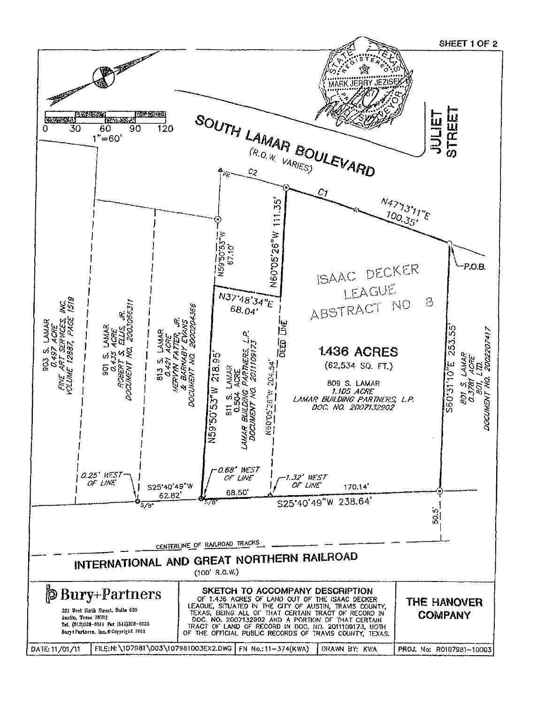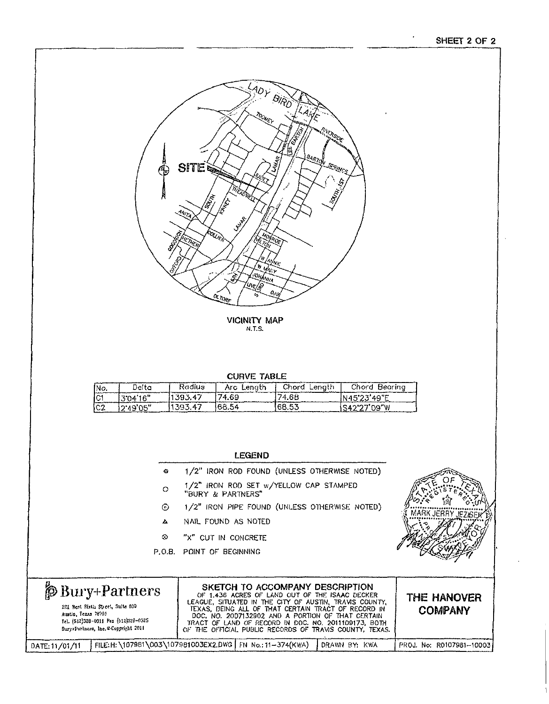ብ ፤



VICINITY MAP N.T.S.

CURVE TABLE

| INo. | Deita     | Radius  | Arc Lenath | Chord<br>Lenath | Chord Bearina |
|------|-----------|---------|------------|-----------------|---------------|
| TC1  | 1304'16"  | 393.47  | 74.69      | 74.68           | N45'23'49 E   |
| IC2  | 12'49'05" | 1393.47 | 68.54      | 68.53           | S42'27'09'W   |

- 1/2" IRON ROD FOUND (UNLESS OTHERWISE NOTED)  $\alpha$
- 1/2" IRON ROD SET w/YELLOW CAP STAMPED "BURY & PARTNERS"  $\circ$
- 1/2" IRON PIPE FOUND (UNLESS OTHERWISE NOTED) ©
- NAIL FOUND AS NOTED  $\Delta$
- "X" CUT IN CONCRETE &
- P.O.B. POINT OF BEGINNING